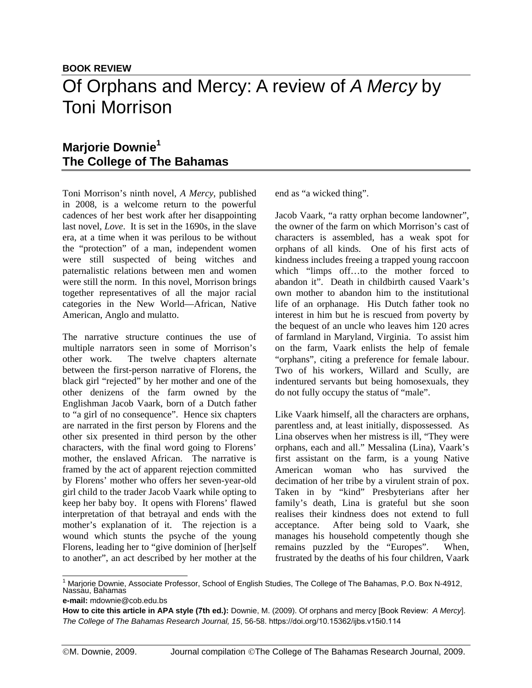## **Marjorie Downie<sup>1</sup> The College of The Bahamas**

Toni Morrison's ninth novel, *A Mercy*, published in 2008, is a welcome return to the powerful cadences of her best work after her disappointing last novel, *Love*. It is set in the 1690s, in the slave era, at a time when it was perilous to be without the "protection" of a man, independent women were still suspected of being witches and paternalistic relations between men and women were still the norm. In this novel, Morrison brings together representatives of all the major racial categories in the New World—African, Native American, Anglo and mulatto.

The narrative structure continues the use of multiple narrators seen in some of Morrison's other work. The twelve chapters alternate between the first-person narrative of Florens, the black girl "rejected" by her mother and one of the other denizens of the farm owned by the Englishman Jacob Vaark, born of a Dutch father to "a girl of no consequence". Hence six chapters are narrated in the first person by Florens and the other six presented in third person by the other characters, with the final word going to Florens' mother, the enslaved African. The narrative is framed by the act of apparent rejection committed by Florens' mother who offers her seven-year-old girl child to the trader Jacob Vaark while opting to keep her baby boy. It opens with Florens' flawed interpretation of that betrayal and ends with the mother's explanation of it. The rejection is a wound which stunts the psyche of the young Florens, leading her to "give dominion of [her]self to another", an act described by her mother at the

end as "a wicked thing".

Jacob Vaark, "a ratty orphan become landowner", the owner of the farm on which Morrison's cast of characters is assembled, has a weak spot for orphans of all kinds. One of his first acts of kindness includes freeing a trapped young raccoon which "limps off...to the mother forced to abandon it". Death in childbirth caused Vaark's own mother to abandon him to the institutional life of an orphanage. His Dutch father took no interest in him but he is rescued from poverty by the bequest of an uncle who leaves him 120 acres of farmland in Maryland, Virginia. To assist him on the farm, Vaark enlists the help of female "orphans", citing a preference for female labour. Two of his workers, Willard and Scully, are indentured servants but being homosexuals, they do not fully occupy the status of "male".

Like Vaark himself, all the characters are orphans, parentless and, at least initially, dispossessed. As Lina observes when her mistress is ill, "They were orphans, each and all." Messalina (Lina), Vaark's first assistant on the farm, is a young Native American woman who has survived the decimation of her tribe by a virulent strain of pox. Taken in by "kind" Presbyterians after her family's death, Lina is grateful but she soon realises their kindness does not extend to full acceptance. After being sold to Vaark, she manages his household competently though she remains puzzled by the "Europes". When, frustrated by the deaths of his four children, Vaark

<sup>&</sup>lt;sup>1</sup> Marjorie Downie, Associate Professor, School of English Studies, The College of The Bahamas, P.O. Box N-4912, Nassau, Bahamas

**e-mail:** mdownie@cob.edu.bs

**How to cite this article in APA style (7th ed.):** Downie, M. (2009). Of orphans and mercy [Book Review: *A Mercy*]. *The College of The Bahamas Research Journal, 15*, 56-58. https://doi.org/10.15362/ijbs.v15i0.114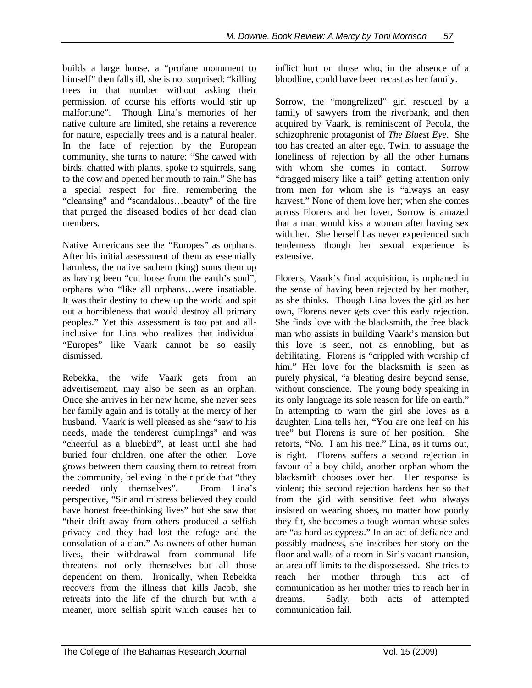builds a large house, a "profane monument to himself" then falls ill, she is not surprised: "killing" trees in that number without asking their permission, of course his efforts would stir up malfortune". Though Lina's memories of her native culture are limited, she retains a reverence for nature, especially trees and is a natural healer. In the face of rejection by the European community, she turns to nature: "She cawed with birds, chatted with plants, spoke to squirrels, sang to the cow and opened her mouth to rain." She has a special respect for fire, remembering the "cleansing" and "scandalous…beauty" of the fire that purged the diseased bodies of her dead clan members.

Native Americans see the "Europes" as orphans. After his initial assessment of them as essentially harmless, the native sachem (king) sums them up as having been "cut loose from the earth's soul", orphans who "like all orphans…were insatiable. It was their destiny to chew up the world and spit out a horribleness that would destroy all primary peoples." Yet this assessment is too pat and allinclusive for Lina who realizes that individual "Europes" like Vaark cannot be so easily dismissed.

Rebekka, the wife Vaark gets from an advertisement, may also be seen as an orphan. Once she arrives in her new home, she never sees her family again and is totally at the mercy of her husband. Vaark is well pleased as she "saw to his needs, made the tenderest dumplings" and was "cheerful as a bluebird", at least until she had buried four children, one after the other. Love grows between them causing them to retreat from the community, believing in their pride that "they needed only themselves". From Lina's perspective, "Sir and mistress believed they could have honest free-thinking lives" but she saw that "their drift away from others produced a selfish privacy and they had lost the refuge and the consolation of a clan." As owners of other human lives, their withdrawal from communal life threatens not only themselves but all those dependent on them. Ironically, when Rebekka recovers from the illness that kills Jacob, she retreats into the life of the church but with a meaner, more selfish spirit which causes her to inflict hurt on those who, in the absence of a bloodline, could have been recast as her family.

Sorrow, the "mongrelized" girl rescued by a family of sawyers from the riverbank, and then acquired by Vaark, is reminiscent of Pecola, the schizophrenic protagonist of *The Bluest Eye*. She too has created an alter ego, Twin, to assuage the loneliness of rejection by all the other humans with whom she comes in contact. Sorrow "dragged misery like a tail" getting attention only from men for whom she is "always an easy harvest." None of them love her; when she comes across Florens and her lover, Sorrow is amazed that a man would kiss a woman after having sex with her. She herself has never experienced such tenderness though her sexual experience is extensive.

Florens, Vaark's final acquisition, is orphaned in the sense of having been rejected by her mother, as she thinks. Though Lina loves the girl as her own, Florens never gets over this early rejection. She finds love with the blacksmith, the free black man who assists in building Vaark's mansion but this love is seen, not as ennobling, but as debilitating. Florens is "crippled with worship of him." Her love for the blacksmith is seen as purely physical, "a bleating desire beyond sense, without conscience. The young body speaking in its only language its sole reason for life on earth." In attempting to warn the girl she loves as a daughter, Lina tells her, "You are one leaf on his tree" but Florens is sure of her position. She retorts, "No. I am his tree." Lina, as it turns out, is right. Florens suffers a second rejection in favour of a boy child, another orphan whom the blacksmith chooses over her. Her response is violent; this second rejection hardens her so that from the girl with sensitive feet who always insisted on wearing shoes, no matter how poorly they fit, she becomes a tough woman whose soles are "as hard as cypress." In an act of defiance and possibly madness, she inscribes her story on the floor and walls of a room in Sir's vacant mansion, an area off-limits to the dispossessed. She tries to reach her mother through this act of communication as her mother tries to reach her in dreams. Sadly, both acts of attempted communication fail.